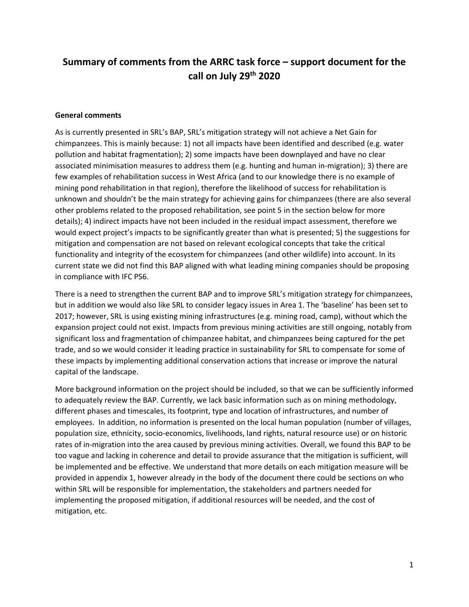# **Summary of comments from the ARRC task force – support document for the call on July 29th 2020**

#### **General comments**

As is currently presented in SRL's BAP, SRL's mitigation strategy will not achieve a Net Gain for chimpanzees. This is mainly because: 1) not all impacts have been identified and described (e.g. water pollution and habitat fragmentation); 2) some impacts have been downplayed and have no clear associated minimisation measures to address them (e.g. hunting and human in-migration); 3) there are few examples of rehabilitation success in West Africa (and to our knowledge there is no example of mining pond rehabilitation in that region), therefore the likelihood of success for rehabilitation is unknown and shouldn't be the main strategy for achieving gains for chimpanzees (there are also several other problems related to the proposed rehabilitation, see point 5 in the section below for more details); 4) indirect impacts have not been included in the residual impact assessment, therefore we would expect project's impacts to be significantly greater than what is presented; 5) the suggestions for mitigation and compensation are not based on relevant ecological concepts that take the critical functionality and integrity of the ecosystem for chimpanzees (and other wildlife) into account. In its current state we did not find this BAP aligned with what leading mining companies should be proposing in compliance with IFC PS6.

There is a need to strengthen the current BAP and to improve SRL's mitigation strategy for chimpanzees, but in addition we would also like SRL to consider legacy issues in Area 1. The 'baseline' has been set to 2017; however, SRL is using existing mining infrastructures (e.g. mining road, camp), without which the expansion project could not exist. Impacts from previous mining activities are still ongoing, notably from significant loss and fragmentation of chimpanzee habitat, and chimpanzees being captured for the pet trade, and so we would consider it leading practice in sustainability for SRL to compensate for some of these impacts by implementing additional conservation actions that increase or improve the natural capital of the landscape.

More background information on the project should be included, so that we can be sufficiently informed to adequately review the BAP. Currently, we lack basic information such as on mining methodology, different phases and timescales, its footprint, type and location of infrastructures, and number of employees. In addition, no information is presented on the local human population (number of villages, population size, ethnicity, socio-economics, livelihoods, land rights, natural resource use) or on historic rates of in-migration into the area caused by previous mining activities. Overall, we found this BAP to be too vague and lacking in coherence and detail to provide assurance that the mitigation is sufficient, will be implemented and be effective. We understand that more details on each mitigation measure will be provided in appendix 1, however already in the body of the document there could be sections on who within SRL will be responsible for implementation, the stakeholders and partners needed for implementing the proposed mitigation, if additional resources will be needed, and the cost of mitigation, etc.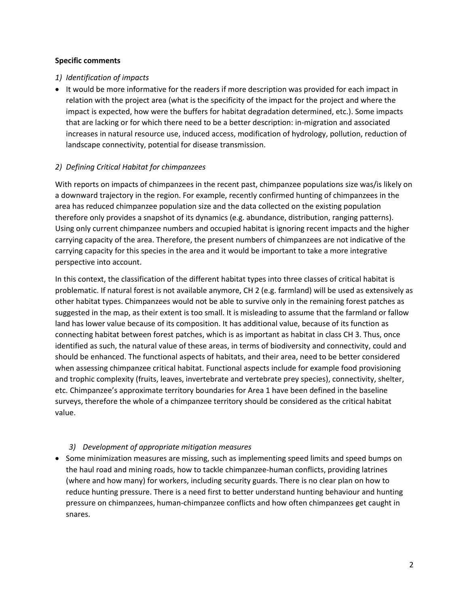#### **Specific comments**

## *1) Identification of impacts*

• It would be more informative for the readers if more description was provided for each impact in relation with the project area (what is the specificity of the impact for the project and where the impact is expected, how were the buffers for habitat degradation determined, etc.). Some impacts that are lacking or for which there need to be a better description: in-migration and associated increases in natural resource use, induced access, modification of hydrology, pollution, reduction of landscape connectivity, potential for disease transmission.

# *2) Defining Critical Habitat for chimpanzees*

With reports on impacts of chimpanzees in the recent past, chimpanzee populations size was/is likely on a downward trajectory in the region. For example, recently confirmed hunting of chimpanzees in the area has reduced chimpanzee population size and the data collected on the existing population therefore only provides a snapshot of its dynamics (e.g. abundance, distribution, ranging patterns). Using only current chimpanzee numbers and occupied habitat is ignoring recent impacts and the higher carrying capacity of the area. Therefore, the present numbers of chimpanzees are not indicative of the carrying capacity for this species in the area and it would be important to take a more integrative perspective into account.

In this context, the classification of the different habitat types into three classes of critical habitat is problematic. If natural forest is not available anymore, CH 2 (e.g. farmland) will be used as extensively as other habitat types. Chimpanzees would not be able to survive only in the remaining forest patches as suggested in the map, as their extent is too small. It is misleading to assume that the farmland or fallow land has lower value because of its composition. It has additional value, because of its function as connecting habitat between forest patches, which is as important as habitat in class CH 3. Thus, once identified as such, the natural value of these areas, in terms of biodiversity and connectivity, could and should be enhanced. The functional aspects of habitats, and their area, need to be better considered when assessing chimpanzee critical habitat. Functional aspects include for example food provisioning and trophic complexity (fruits, leaves, invertebrate and vertebrate prey species), connectivity, shelter, etc. Chimpanzee's approximate territory boundaries for Area 1 have been defined in the baseline surveys, therefore the whole of a chimpanzee territory should be considered as the critical habitat value.

# *3) Development of appropriate mitigation measures*

• Some minimization measures are missing, such as implementing speed limits and speed bumps on the haul road and mining roads, how to tackle chimpanzee-human conflicts, providing latrines (where and how many) for workers, including security guards. There is no clear plan on how to reduce hunting pressure. There is a need first to better understand hunting behaviour and hunting pressure on chimpanzees, human-chimpanzee conflicts and how often chimpanzees get caught in snares.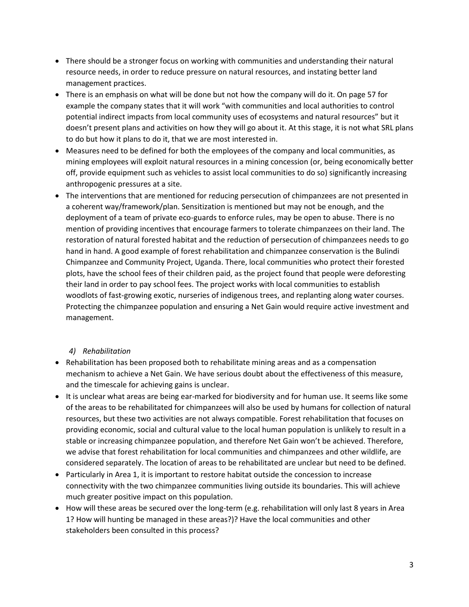- There should be a stronger focus on working with communities and understanding their natural resource needs, in order to reduce pressure on natural resources, and instating better land management practices.
- There is an emphasis on what will be done but not how the company will do it. On page 57 for example the company states that it will work "with communities and local authorities to control potential indirect impacts from local community uses of ecosystems and natural resources" but it doesn't present plans and activities on how they will go about it. At this stage, it is not what SRL plans to do but how it plans to do it, that we are most interested in.
- Measures need to be defined for both the employees of the company and local communities, as mining employees will exploit natural resources in a mining concession (or, being economically better off, provide equipment such as vehicles to assist local communities to do so) significantly increasing anthropogenic pressures at a site.
- The interventions that are mentioned for reducing persecution of chimpanzees are not presented in a coherent way/framework/plan. Sensitization is mentioned but may not be enough, and the deployment of a team of private eco-guards to enforce rules, may be open to abuse. There is no mention of providing incentives that encourage farmers to tolerate chimpanzees on their land. The restoration of natural forested habitat and the reduction of persecution of chimpanzees needs to go hand in hand. A good example of forest rehabilitation and chimpanzee conservation is the Bulindi Chimpanzee and Community Project, Uganda. There, local communities who protect their forested plots, have the school fees of their children paid, as the project found that people were deforesting their land in order to pay school fees. The project works with local communities to establish woodlots of fast-growing exotic, nurseries of indigenous trees, and replanting along water courses. Protecting the chimpanzee population and ensuring a Net Gain would require active investment and management.

## *4) Rehabilitation*

- Rehabilitation has been proposed both to rehabilitate mining areas and as a compensation mechanism to achieve a Net Gain. We have serious doubt about the effectiveness of this measure, and the timescale for achieving gains is unclear.
- It is unclear what areas are being ear-marked for biodiversity and for human use. It seems like some of the areas to be rehabilitated for chimpanzees will also be used by humans for collection of natural resources, but these two activities are not always compatible. Forest rehabilitation that focuses on providing economic, social and cultural value to the local human population is unlikely to result in a stable or increasing chimpanzee population, and therefore Net Gain won't be achieved. Therefore, we advise that forest rehabilitation for local communities and chimpanzees and other wildlife, are considered separately. The location of areas to be rehabilitated are unclear but need to be defined.
- Particularly in Area 1, it is important to restore habitat outside the concession to increase connectivity with the two chimpanzee communities living outside its boundaries. This will achieve much greater positive impact on this population.
- How will these areas be secured over the long-term (e.g. rehabilitation will only last 8 years in Area 1? How will hunting be managed in these areas?)? Have the local communities and other stakeholders been consulted in this process?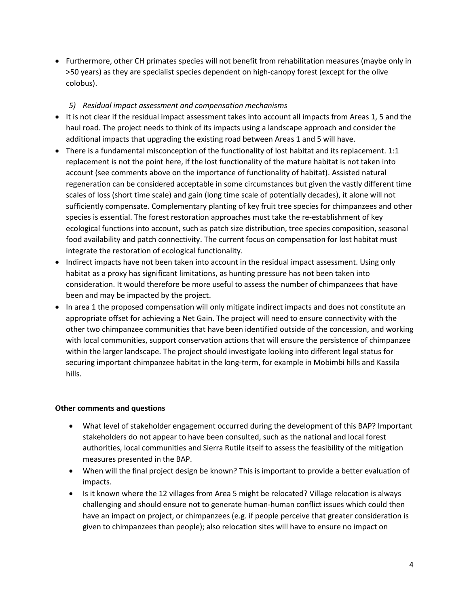• Furthermore, other CH primates species will not benefit from rehabilitation measures (maybe only in >50 years) as they are specialist species dependent on high-canopy forest (except for the olive colobus).

#### *5) Residual impact assessment and compensation mechanisms*

- It is not clear if the residual impact assessment takes into account all impacts from Areas 1, 5 and the haul road. The project needs to think of its impacts using a landscape approach and consider the additional impacts that upgrading the existing road between Areas 1 and 5 will have.
- There is a fundamental misconception of the functionality of lost habitat and its replacement. 1:1 replacement is not the point here, if the lost functionality of the mature habitat is not taken into account (see comments above on the importance of functionality of habitat). Assisted natural regeneration can be considered acceptable in some circumstances but given the vastly different time scales of loss (short time scale) and gain (long time scale of potentially decades), it alone will not sufficiently compensate. Complementary planting of key fruit tree species for chimpanzees and other species is essential. The forest restoration approaches must take the re-establishment of key ecological functions into account, such as patch size distribution, tree species composition, seasonal food availability and patch connectivity. The current focus on compensation for lost habitat must integrate the restoration of ecological functionality.
- Indirect impacts have not been taken into account in the residual impact assessment. Using only habitat as a proxy has significant limitations, as hunting pressure has not been taken into consideration. It would therefore be more useful to assess the number of chimpanzees that have been and may be impacted by the project.
- In area 1 the proposed compensation will only mitigate indirect impacts and does not constitute an appropriate offset for achieving a Net Gain. The project will need to ensure connectivity with the other two chimpanzee communities that have been identified outside of the concession, and working with local communities, support conservation actions that will ensure the persistence of chimpanzee within the larger landscape. The project should investigate looking into different legal status for securing important chimpanzee habitat in the long-term, for example in Mobimbi hills and Kassila hills.

## **Other comments and questions**

- What level of stakeholder engagement occurred during the development of this BAP? Important stakeholders do not appear to have been consulted, such as the national and local forest authorities, local communities and Sierra Rutile itself to assess the feasibility of the mitigation measures presented in the BAP.
- When will the final project design be known? This is important to provide a better evaluation of impacts.
- Is it known where the 12 villages from Area 5 might be relocated? Village relocation is always challenging and should ensure not to generate human-human conflict issues which could then have an impact on project, or chimpanzees (e.g. if people perceive that greater consideration is given to chimpanzees than people); also relocation sites will have to ensure no impact on